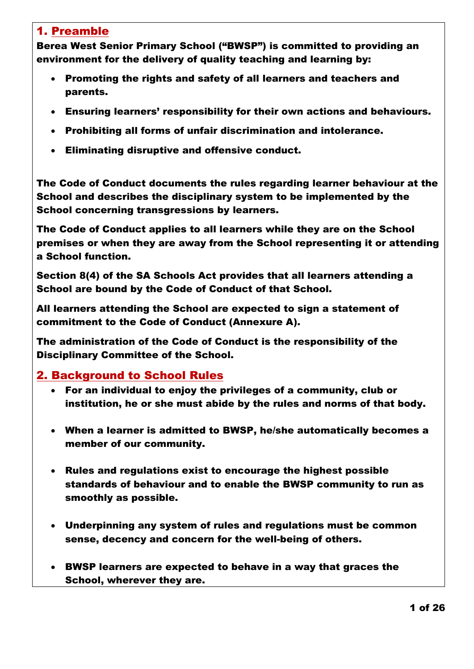#### 1. Preamble

Berea West Senior Primary School ("BWSP") is committed to providing an environment for the delivery of quality teaching and learning by:

- Promoting the rights and safety of all learners and teachers and parents.
- Ensuring learners' responsibility for their own actions and behaviours.
- Prohibiting all forms of unfair discrimination and intolerance.
- Eliminating disruptive and offensive conduct.

The Code of Conduct documents the rules regarding learner behaviour at the School and describes the disciplinary system to be implemented by the School concerning transgressions by learners.

The Code of Conduct applies to all learners while they are on the School premises or when they are away from the School representing it or attending a School function.

Section 8(4) of the SA Schools Act provides that all learners attending a School are bound by the Code of Conduct of that School.

All learners attending the School are expected to sign a statement of commitment to the Code of Conduct (Annexure A).

The administration of the Code of Conduct is the responsibility of the Disciplinary Committee of the School.

#### 2. Background to School Rules

- For an individual to enjoy the privileges of a community, club or institution, he or she must abide by the rules and norms of that body.
- When a learner is admitted to BWSP, he/she automatically becomes a member of our community.
- Rules and regulations exist to encourage the highest possible standards of behaviour and to enable the BWSP community to run as smoothly as possible.
- Underpinning any system of rules and regulations must be common sense, decency and concern for the well-being of others.
- BWSP learners are expected to behave in a way that graces the School, wherever they are.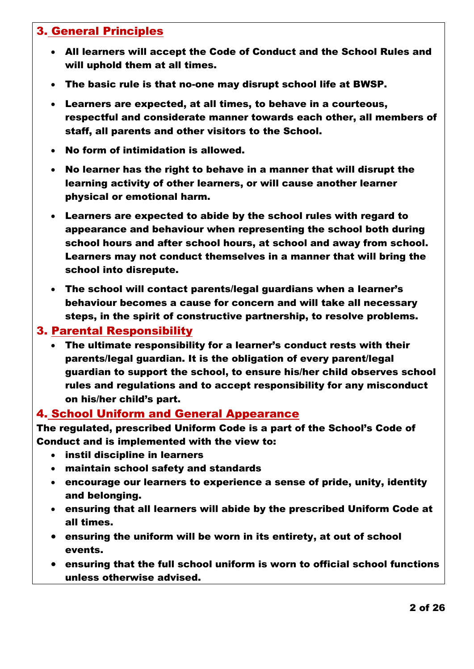### 3. General Principles

- All learners will accept the Code of Conduct and the School Rules and will uphold them at all times.
- The basic rule is that no-one may disrupt school life at BWSP.
- Learners are expected, at all times, to behave in a courteous, respectful and considerate manner towards each other, all members of staff, all parents and other visitors to the School.
- No form of intimidation is allowed.
- No learner has the right to behave in a manner that will disrupt the learning activity of other learners, or will cause another learner physical or emotional harm.
- Learners are expected to abide by the school rules with regard to appearance and behaviour when representing the school both during school hours and after school hours, at school and away from school. Learners may not conduct themselves in a manner that will bring the school into disrepute.
- The school will contact parents/legal guardians when a learner's behaviour becomes a cause for concern and will take all necessary steps, in the spirit of constructive partnership, to resolve problems.

#### 3. Parental Responsibility

 The ultimate responsibility for a learner's conduct rests with their parents/legal guardian. It is the obligation of every parent/legal guardian to support the school, to ensure his/her child observes school rules and regulations and to accept responsibility for any misconduct on his/her child's part.

#### 4. School Uniform and General Appearance

The regulated, prescribed Uniform Code is a part of the School's Code of Conduct and is implemented with the view to:

- instil discipline in learners
- maintain school safety and standards
- encourage our learners to experience a sense of pride, unity, identity and belonging.
- ensuring that all learners will abide by the prescribed Uniform Code at all times.
- ensuring the uniform will be worn in its entirety, at out of school events.
- ensuring that the full school uniform is worn to official school functions unless otherwise advised.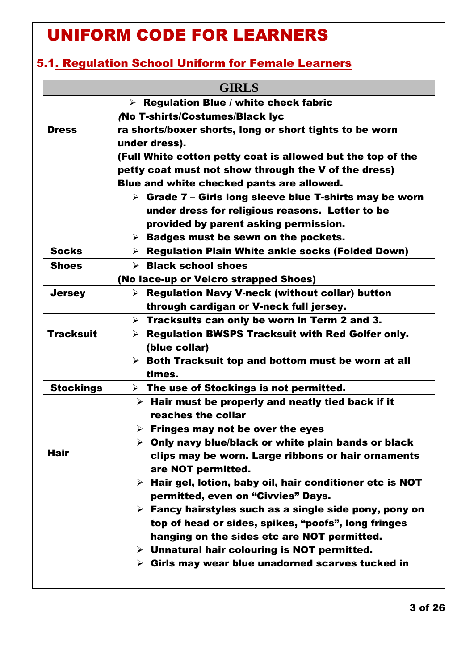# UNIFORM CODE FOR LEARNERS

## 5.1. Regulation School Uniform for Female Learners

| <b>GIRLS</b>     |                                                                          |  |  |  |
|------------------|--------------------------------------------------------------------------|--|--|--|
|                  | $\triangleright$ Regulation Blue / white check fabric                    |  |  |  |
|                  | <b>No T-shirts/Costumes/Black lyc</b>                                    |  |  |  |
| <b>Dress</b>     | ra shorts/boxer shorts, long or short tights to be worn                  |  |  |  |
|                  | under dress).                                                            |  |  |  |
|                  | (Full White cotton petty coat is allowed but the top of the              |  |  |  |
|                  | petty coat must not show through the V of the dress)                     |  |  |  |
|                  | Blue and white checked pants are allowed.                                |  |  |  |
|                  | $\triangleright$ Grade 7 – Girls long sleeve blue T-shirts may be worn   |  |  |  |
|                  | under dress for religious reasons. Letter to be                          |  |  |  |
|                  | provided by parent asking permission.                                    |  |  |  |
|                  | $\triangleright$ Badges must be sewn on the pockets.                     |  |  |  |
| <b>Socks</b>     | $\triangleright$ Regulation Plain White ankle socks (Folded Down)        |  |  |  |
| <b>Shoes</b>     | $\triangleright$ Black school shoes                                      |  |  |  |
|                  | (No lace-up or Velcro strapped Shoes)                                    |  |  |  |
| <b>Jersey</b>    | $\triangleright$ Regulation Navy V-neck (without collar) button          |  |  |  |
|                  | through cardigan or V-neck full jersey.                                  |  |  |  |
|                  | $\triangleright$ Tracksuits can only be worn in Term 2 and 3.            |  |  |  |
| <b>Tracksuit</b> | $\triangleright$ Regulation BWSPS Tracksuit with Red Golfer only.        |  |  |  |
|                  | (blue collar)                                                            |  |  |  |
|                  | $\triangleright$ Both Tracksuit top and bottom must be worn at all       |  |  |  |
|                  | times.                                                                   |  |  |  |
| <b>Stockings</b> | $\triangleright$ The use of Stockings is not permitted.                  |  |  |  |
|                  | $\triangleright$ Hair must be properly and neatly tied back if it        |  |  |  |
|                  | reaches the collar                                                       |  |  |  |
|                  | $\triangleright$ Fringes may not be over the eyes                        |  |  |  |
|                  | $\triangleright$ Only navy blue/black or white plain bands or black      |  |  |  |
| Hair             | clips may be worn. Large ribbons or hair ornaments<br>are NOT permitted. |  |  |  |
|                  | $\triangleright$ Hair gel, lotion, baby oil, hair conditioner etc is NOT |  |  |  |
|                  | permitted, even on "Civvies" Days.                                       |  |  |  |
|                  | $\triangleright$ Fancy hairstyles such as a single side pony, pony on    |  |  |  |
|                  | top of head or sides, spikes, "poofs", long fringes                      |  |  |  |
|                  | hanging on the sides etc are NOT permitted.                              |  |  |  |
|                  | $\triangleright$ Unnatural hair colouring is NOT permitted.              |  |  |  |
|                  | Girls may wear blue unadorned scarves tucked in<br>≻                     |  |  |  |
|                  |                                                                          |  |  |  |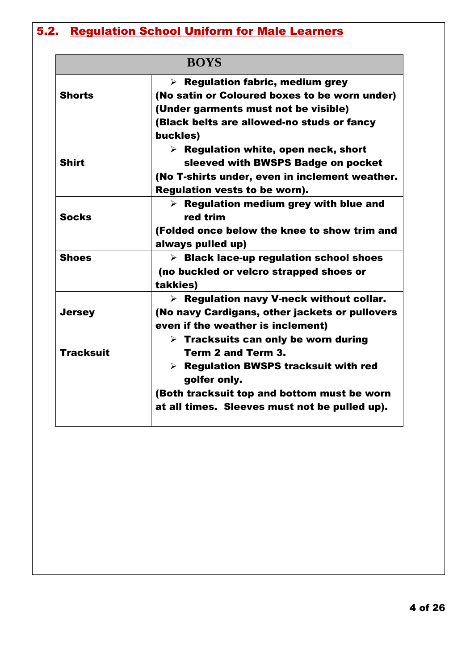# 5.2. Regulation School Uniform for Male Learners

| <b>BOYS</b>      |                                                         |  |
|------------------|---------------------------------------------------------|--|
|                  | $\triangleright$ Regulation fabric, medium grey         |  |
| <b>Shorts</b>    | (No satin or Coloured boxes to be worn under)           |  |
|                  | (Under garments must not be visible)                    |  |
|                  | (Black belts are allowed-no studs or fancy              |  |
|                  | buckles)                                                |  |
|                  | $\triangleright$ Regulation white, open neck, short     |  |
| <b>Shirt</b>     | sleeved with BWSPS Badge on pocket                      |  |
|                  | (No T-shirts under, even in inclement weather.          |  |
|                  | <b>Regulation vests to be worn).</b>                    |  |
|                  | $\triangleright$ Regulation medium grey with blue and   |  |
| <b>Socks</b>     | red trim                                                |  |
|                  | (Folded once below the knee to show trim and            |  |
|                  | always pulled up)                                       |  |
| <b>Shoes</b>     | > Black lace-up regulation school shoes                 |  |
|                  | (no buckled or velcro strapped shoes or                 |  |
|                  | takkies)                                                |  |
|                  | $\triangleright$ Regulation navy V-neck without collar. |  |
| <b>Jersey</b>    | (No navy Cardigans, other jackets or pullovers          |  |
|                  | even if the weather is inclement)                       |  |
|                  | $\triangleright$ Tracksuits can only be worn during     |  |
| <b>Tracksuit</b> | Term 2 and Term 3.                                      |  |
|                  | $\triangleright$ Regulation BWSPS tracksuit with red    |  |
|                  | golfer only.                                            |  |
|                  | (Both tracksuit top and bottom must be worn             |  |
|                  | at all times. Sleeves must not be pulled up).           |  |
|                  |                                                         |  |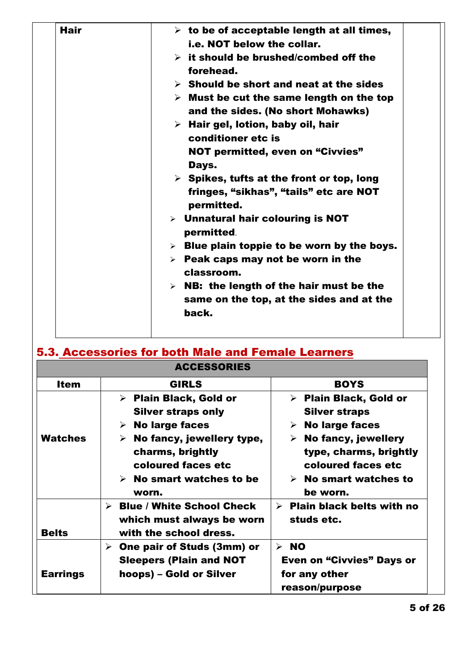| Hair | $\triangleright$ to be of acceptable length at all times,                                    |
|------|----------------------------------------------------------------------------------------------|
|      | i.e. NOT below the collar.                                                                   |
|      | $\triangleright$ it should be brushed/combed off the<br>forehead.                            |
|      | $\triangleright$ Should be short and neat at the sides                                       |
|      | $\triangleright$ Must be cut the same length on the top<br>and the sides. (No short Mohawks) |
|      | $\triangleright$ Hair gel, lotion, baby oil, hair                                            |
|      | conditioner etc is                                                                           |
|      | <b>NOT permitted, even on "Civvies"</b><br>Days.                                             |
|      | $\triangleright$ Spikes, tufts at the front or top, long                                     |
|      | fringes, "sikhas", "tails" etc are NOT<br>permitted.                                         |
|      | $\triangleright$ Unnatural hair colouring is NOT<br>permitted.                               |
|      | $\triangleright$ Blue plain toppie to be worn by the boys.                                   |
|      | $\triangleright$ Peak caps may not be worn in the<br>classroom.                              |
|      | $\triangleright$ NB: the length of the hair must be the                                      |
|      | same on the top, at the sides and at the                                                     |
|      | back.                                                                                        |

|                                 | <b>ACCESSORIES</b>                                                                                                                                                                                                               |                                                                                                                                                                                                                                         |
|---------------------------------|----------------------------------------------------------------------------------------------------------------------------------------------------------------------------------------------------------------------------------|-----------------------------------------------------------------------------------------------------------------------------------------------------------------------------------------------------------------------------------------|
| <b>Item</b>                     | <b>GIRLS</b>                                                                                                                                                                                                                     | <b>BOYS</b>                                                                                                                                                                                                                             |
| <b>Watches</b>                  | $\triangleright$ Plain Black, Gold or<br><b>Silver straps only</b><br><b>No large faces</b><br>➤<br>No fancy, jewellery type,<br>➤<br>charms, brightly<br>coloured faces etc<br>$\triangleright$ No smart watches to be<br>worn. | $\triangleright$ Plain Black, Gold or<br><b>Silver straps</b><br><b>No large faces</b><br>➤<br>$\triangleright$ No fancy, jewellery<br>type, charms, brightly<br>coloured faces etc<br>$\triangleright$ No smart watches to<br>be worn. |
| <b>Belts</b><br><b>Earrings</b> | <b>Blue / White School Check</b><br>≻<br>which must always be worn<br>with the school dress.<br>One pair of Studs (3mm) or<br>➤<br><b>Sleepers (Plain and NOT</b><br>hoops) – Gold or Silver                                     | $\triangleright$ Plain black belts with no<br>studs etc.<br>$>$ NO<br><b>Even on "Civvies" Days or</b><br>for any other                                                                                                                 |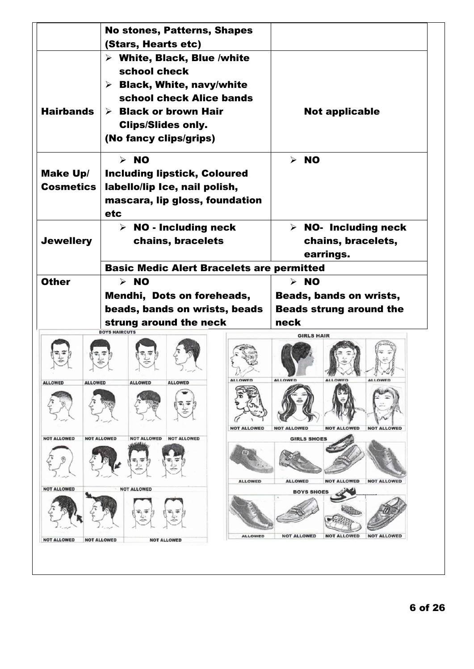|                                  | <b>No stones, Patterns, Shapes</b><br>(Stars, Hearts etc)                |                                                                                  |
|----------------------------------|--------------------------------------------------------------------------|----------------------------------------------------------------------------------|
|                                  | $\triangleright$ White, Black, Blue /white                               |                                                                                  |
|                                  | school check                                                             |                                                                                  |
|                                  | $\triangleright$ Black, White, navy/white                                |                                                                                  |
|                                  | school check Alice bands                                                 |                                                                                  |
| <b>Hairbands</b>                 | $\triangleright$ Black or brown Hair                                     | <b>Not applicable</b>                                                            |
|                                  | <b>Clips/Slides only.</b>                                                |                                                                                  |
|                                  | (No fancy clips/grips)                                                   |                                                                                  |
|                                  | $>$ NO                                                                   | $>$ NO                                                                           |
| Make Up/                         | <b>Including lipstick, Coloured</b>                                      |                                                                                  |
| <b>Cosmetics</b>                 | labello/lip Ice, nail polish,                                            |                                                                                  |
|                                  | mascara, lip gloss, foundation                                           |                                                                                  |
|                                  | <b>etc</b>                                                               |                                                                                  |
|                                  | $\triangleright$ NO - Including neck                                     | $\triangleright$ NO- Including neck                                              |
| <b>Jewellery</b>                 | chains, bracelets                                                        | chains, bracelets,                                                               |
|                                  |                                                                          | earrings.                                                                        |
|                                  | <b>Basic Medic Alert Bracelets are permitted</b>                         |                                                                                  |
| <b>Other</b>                     | $>$ NO                                                                   | $>$ NO                                                                           |
|                                  | Mendhi, Dots on foreheads,                                               | Beads, bands on wrists,                                                          |
|                                  | beads, bands on wrists, beads<br>strung around the neck                  | <b>Beads strung around the</b><br>neck                                           |
|                                  | <b>BOYS HAIRCUTS</b>                                                     | <b>GIRLS HAIR</b>                                                                |
|                                  |                                                                          | <b>ALLOWED</b><br><b>ALLOWED</b>                                                 |
| <b>ALLOWED</b><br><b>ALLOWED</b> | <b>ALLOWED</b><br><b>ALLOWED</b><br><b>ALLOWED</b><br><b>NOT ALLOWED</b> | <b>ALLOWED</b><br><b>NOT ALLOWED</b><br><b>NOT ALLOWED</b><br><b>NOT ALLOWED</b> |
| <b>NOT ALLOWED</b>               | <b>NOT ALLOWED</b><br>NOT ALLOWED NOT ALLOWED                            | <b>GIRLS SHOES</b>                                                               |
|                                  |                                                                          |                                                                                  |
| <b>NOT ALLOWED</b>               | <b>ALLOWED</b><br><b>NOT ALLOWED</b>                                     | <b>ALLOWED</b><br><b>NOT ALLOWED</b><br><b>NOT ALLOWED</b>                       |
|                                  |                                                                          | <b>BOYS SHOES</b>                                                                |
|                                  |                                                                          |                                                                                  |
|                                  |                                                                          |                                                                                  |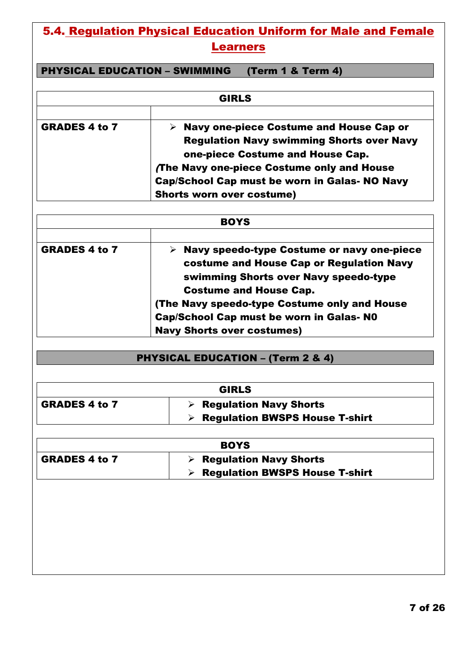## 5.4. Regulation Physical Education Uniform for Male and Female Learners

PHYSICAL EDUCATION – SWIMMING (Term 1 & Term 4)

|                      | <b>GIRLS</b>                                             |
|----------------------|----------------------------------------------------------|
|                      |                                                          |
| <b>GRADES 4 to 7</b> | $\triangleright$ Navy one-piece Costume and House Cap or |
|                      | <b>Regulation Navy swimming Shorts over Navy</b>         |
|                      | one-piece Costume and House Cap.                         |
|                      | The Navy one-piece Costume only and House                |
|                      | Cap/School Cap must be worn in Galas- NO Navy            |
|                      | <b>Shorts worn over costume)</b>                         |

| <b>BOYS</b>          |                                                                                        |  |
|----------------------|----------------------------------------------------------------------------------------|--|
| <b>GRADES 4 to 7</b> | Navy speedo-type Costume or navy one-piece<br>costume and House Cap or Regulation Navy |  |
|                      | swimming Shorts over Navy speedo-type<br><b>Costume and House Cap.</b>                 |  |
|                      | (The Navy speedo-type Costume only and House                                           |  |
|                      | <b>Cap/School Cap must be worn in Galas- NO</b>                                        |  |
|                      | <b>Navy Shorts over costumes)</b>                                                      |  |

## PHYSICAL EDUCATION – (Term 2 & 4)

| <b>GIRLS</b>         |                                       |
|----------------------|---------------------------------------|
| <b>GRADES 4 to 7</b> | <b>Regulation Navy Shorts</b>         |
|                      | <b>Regulation BWSPS House T-shirt</b> |

| <b>BOYS</b>          |                                       |
|----------------------|---------------------------------------|
| <b>GRADES 4 to 7</b> | <b>Regulation Navy Shorts</b>         |
|                      | <b>Regulation BWSPS House T-shirt</b> |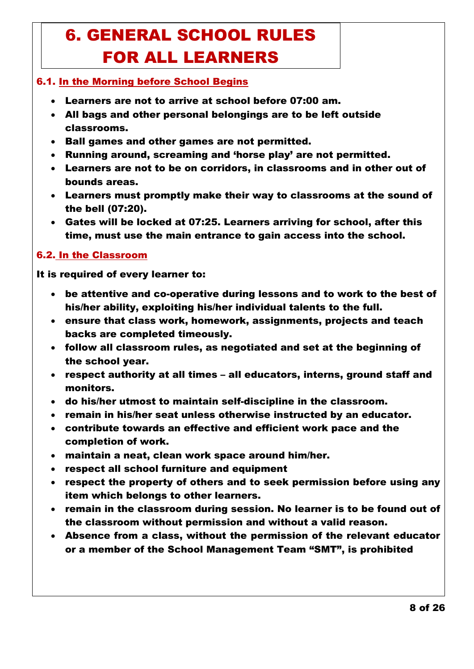# 6. GENERAL SCHOOL RULES FOR ALL LEARNERS

#### 6.1. In the Morning before School Begins

- Learners are not to arrive at school before 07:00 am.
- All bags and other personal belongings are to be left outside classrooms.
- Ball games and other games are not permitted.
- Running around, screaming and 'horse play' are not permitted.
- Learners are not to be on corridors, in classrooms and in other out of bounds areas.
- Learners must promptly make their way to classrooms at the sound of the bell (07:20).
- Gates will be locked at 07:25. Learners arriving for school, after this time, must use the main entrance to gain access into the school.

#### 6.2. In the Classroom

#### It is required of every learner to:

- be attentive and co-operative during lessons and to work to the best of his/her ability, exploiting his/her individual talents to the full.
- ensure that class work, homework, assignments, projects and teach backs are completed timeously.
- follow all classroom rules, as negotiated and set at the beginning of the school year.
- respect authority at all times all educators, interns, ground staff and monitors.
- do his/her utmost to maintain self-discipline in the classroom.
- remain in his/her seat unless otherwise instructed by an educator.
- contribute towards an effective and efficient work pace and the completion of work.
- maintain a neat, clean work space around him/her.
- respect all school furniture and equipment
- respect the property of others and to seek permission before using any item which belongs to other learners.
- remain in the classroom during session. No learner is to be found out of the classroom without permission and without a valid reason.
- Absence from a class, without the permission of the relevant educator or a member of the School Management Team "SMT", is prohibited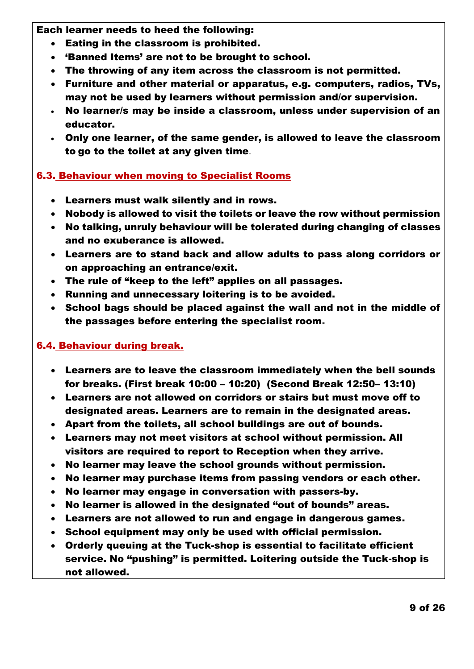Each learner needs to heed the following:

- Eating in the classroom is prohibited.
- 'Banned Items' are not to be brought to school.
- The throwing of any item across the classroom is not permitted.
- Furniture and other material or apparatus, e.g. computers, radios, TVs, may not be used by learners without permission and/or supervision.
- No learner/s may be inside a classroom, unless under supervision of an educator.
- Only one learner, of the same gender, is allowed to leave the classroom to go to the toilet at any given time.

#### 6.3. Behaviour when moving to Specialist Rooms

- Learners must walk silently and in rows.
- Nobody is allowed to visit the toilets or leave the row without permission
- No talking, unruly behaviour will be tolerated during changing of classes and no exuberance is allowed.
- Learners are to stand back and allow adults to pass along corridors or on approaching an entrance/exit.
- The rule of "keep to the left" applies on all passages.
- Running and unnecessary loitering is to be avoided.
- School bags should be placed against the wall and not in the middle of the passages before entering the specialist room.

#### 6.4. Behaviour during break.

- Learners are to leave the classroom immediately when the bell sounds for breaks. (First break 10:00 – 10:20) (Second Break 12:50– 13:10)
- Learners are not allowed on corridors or stairs but must move off to designated areas. Learners are to remain in the designated areas.
- Apart from the toilets, all school buildings are out of bounds.
- Learners may not meet visitors at school without permission. All visitors are required to report to Reception when they arrive.
- No learner may leave the school grounds without permission.
- No learner may purchase items from passing vendors or each other.
- No learner may engage in conversation with passers-by.
- No learner is allowed in the designated "out of bounds" areas.
- Learners are not allowed to run and engage in dangerous games.
- School equipment may only be used with official permission.
- Orderly queuing at the Tuck-shop is essential to facilitate efficient service. No "pushing" is permitted. Loitering outside the Tuck-shop is not allowed.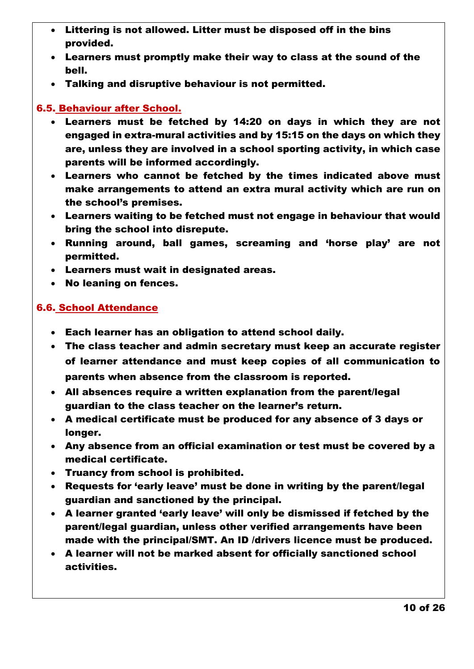- Littering is not allowed. Litter must be disposed off in the bins provided.
- Learners must promptly make their way to class at the sound of the bell.
- Talking and disruptive behaviour is not permitted.

#### 6.5. Behaviour after School.

- Learners must be fetched by 14:20 on days in which they are not engaged in extra-mural activities and by 15:15 on the days on which they are, unless they are involved in a school sporting activity, in which case parents will be informed accordingly.
- Learners who cannot be fetched by the times indicated above must make arrangements to attend an extra mural activity which are run on the school's premises.
- Learners waiting to be fetched must not engage in behaviour that would bring the school into disrepute.
- Running around, ball games, screaming and 'horse play' are not permitted.
- Learners must wait in designated areas.
- No leaning on fences.

#### 6.6. School Attendance

- Each learner has an obligation to attend school daily.
- The class teacher and admin secretary must keep an accurate register of learner attendance and must keep copies of all communication to parents when absence from the classroom is reported.
- All absences require a written explanation from the parent/legal guardian to the class teacher on the learner's return.
- A medical certificate must be produced for any absence of 3 days or longer.
- Any absence from an official examination or test must be covered by a medical certificate.
- Truancy from school is prohibited.
- Requests for 'early leave' must be done in writing by the parent/legal guardian and sanctioned by the principal.
- A learner granted 'early leave' will only be dismissed if fetched by the parent/legal guardian, unless other verified arrangements have been made with the principal/SMT. An ID /drivers licence must be produced.
- A learner will not be marked absent for officially sanctioned school activities.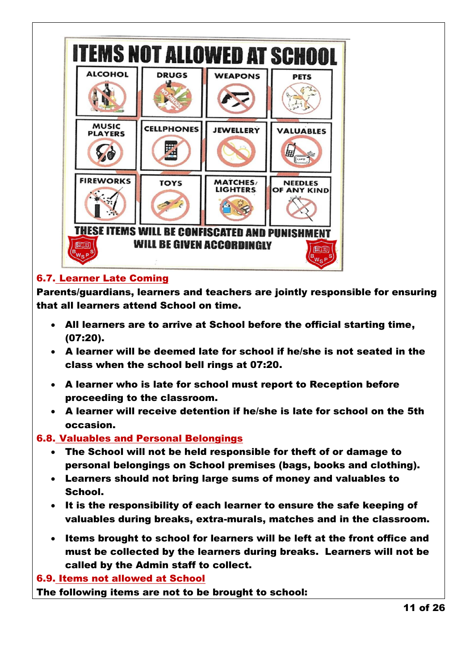

### 6.7. Learner Late Coming

Parents/guardians, learners and teachers are jointly responsible for ensuring that all learners attend School on time.

- All learners are to arrive at School before the official starting time, (07:20).
- A learner will be deemed late for school if he/she is not seated in the class when the school bell rings at 07:20.
- A learner who is late for school must report to Reception before proceeding to the classroom.
- A learner will receive detention if he/she is late for school on the 5th occasion.

#### 6.8. Valuables and Personal Belongings

- The School will not be held responsible for theft of or damage to personal belongings on School premises (bags, books and clothing).
- Learners should not bring large sums of money and valuables to School.
- It is the responsibility of each learner to ensure the safe keeping of valuables during breaks, extra-murals, matches and in the classroom.
- Items brought to school for learners will be left at the front office and must be collected by the learners during breaks. Learners will not be called by the Admin staff to collect.

#### 6.9. Items not allowed at School

The following items are not to be brought to school: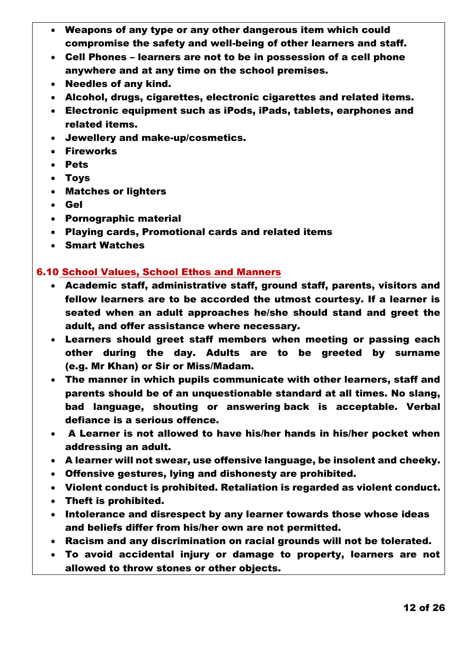- Weapons of any type or any other dangerous item which could compromise the safety and well-being of other learners and staff.
- Cell Phones learners are not to be in possession of a cell phone anywhere and at any time on the school premises.
- Needles of any kind.
- Alcohol, drugs, cigarettes, electronic cigarettes and related items.
- Electronic equipment such as iPods, iPads, tablets, earphones and related items.
- Jewellery and make-up/cosmetics.
- Fireworks
- Pets
- Toys
- Matches or lighters
- Gel
- Pornographic material
- Playing cards, Promotional cards and related items
- Smart Watches

#### 6.10 School Values, School Ethos and Manners

- Academic staff, administrative staff, ground staff, parents, visitors and fellow learners are to be accorded the utmost courtesy. If a learner is seated when an adult approaches he/she should stand and greet the adult, and offer assistance where necessary.
- Learners should greet staff members when meeting or passing each other during the day. Adults are to be greeted by surname (e.g. Mr Khan) or Sir or Miss/Madam.
- The manner in which pupils communicate with other learners, staff and parents should be of an unquestionable standard at all times. No slang, bad language, shouting or answering back is acceptable. Verbal defiance is a serious offence.
- A Learner is not allowed to have his/her hands in his/her pocket when addressing an adult.
- A learner will not swear, use offensive language, be insolent and cheeky.
- Offensive gestures, lying and dishonesty are prohibited.
- Violent conduct is prohibited. Retaliation is regarded as violent conduct.
- Theft is prohibited.
- Intolerance and disrespect by any learner towards those whose ideas and beliefs differ from his/her own are not permitted.
- Racism and any discrimination on racial grounds will not be tolerated.
- To avoid accidental injury or damage to property, learners are not allowed to throw stones or other objects.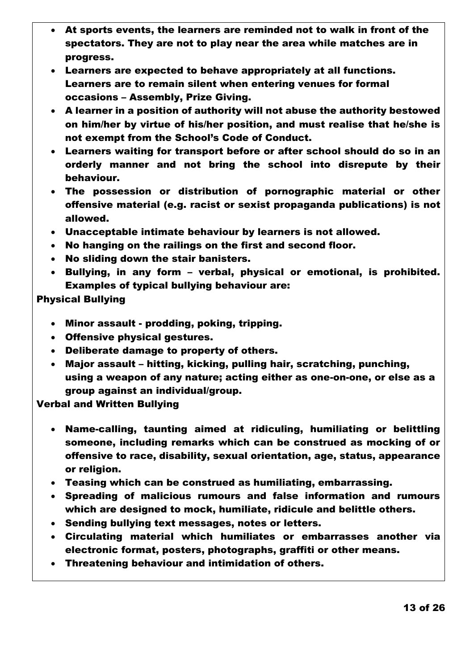- At sports events, the learners are reminded not to walk in front of the spectators. They are not to play near the area while matches are in progress.
- Learners are expected to behave appropriately at all functions. Learners are to remain silent when entering venues for formal occasions – Assembly, Prize Giving.
- A learner in a position of authority will not abuse the authority bestowed on him/her by virtue of his/her position, and must realise that he/she is not exempt from the School's Code of Conduct.
- Learners waiting for transport before or after school should do so in an orderly manner and not bring the school into disrepute by their behaviour.
- The possession or distribution of pornographic material or other offensive material (e.g. racist or sexist propaganda publications) is not allowed.
- Unacceptable intimate behaviour by learners is not allowed.
- No hanging on the railings on the first and second floor.
- No sliding down the stair banisters.
- Bullying, in any form verbal, physical or emotional, is prohibited. Examples of typical bullying behaviour are:

Physical Bullying

- Minor assault prodding, poking, tripping.
- Offensive physical gestures.
- Deliberate damage to property of others.
- Major assault hitting, kicking, pulling hair, scratching, punching, using a weapon of any nature; acting either as one-on-one, or else as a group against an individual/group.

Verbal and Written Bullying

- Name-calling, taunting aimed at ridiculing, humiliating or belittling someone, including remarks which can be construed as mocking of or offensive to race, disability, sexual orientation, age, status, appearance or religion.
- Teasing which can be construed as humiliating, embarrassing.
- Spreading of malicious rumours and false information and rumours which are designed to mock, humiliate, ridicule and belittle others.
- Sending bullying text messages, notes or letters.
- Circulating material which humiliates or embarrasses another via electronic format, posters, photographs, graffiti or other means.
- Threatening behaviour and intimidation of others.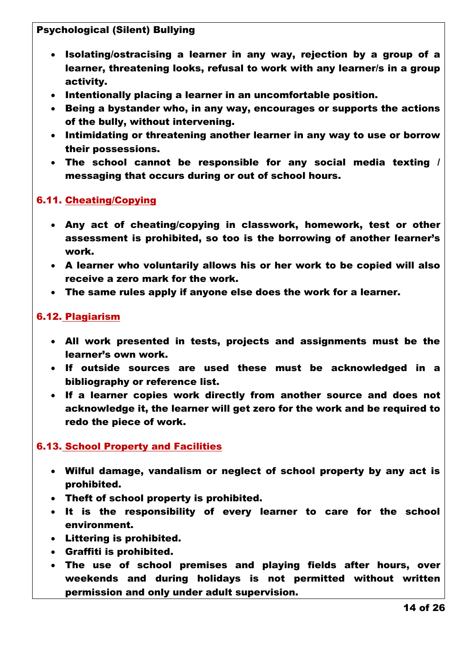#### Psychological (Silent) Bullying

- Isolating/ostracising a learner in any way, rejection by a group of a learner, threatening looks, refusal to work with any learner/s in a group activity.
- $\cdot$  Intentionally placing a learner in an uncomfortable position.
- Being a bystander who, in any way, encourages or supports the actions of the bully, without intervening.
- Intimidating or threatening another learner in any way to use or borrow their possessions.
- The school cannot be responsible for any social media texting / messaging that occurs during or out of school hours.

#### 6.11. Cheating/Copying

- Any act of cheating/copying in classwork, homework, test or other assessment is prohibited, so too is the borrowing of another learner's work.
- A learner who voluntarily allows his or her work to be copied will also receive a zero mark for the work.
- The same rules apply if anyone else does the work for a learner.

#### 6.12. Plagiarism

- All work presented in tests, projects and assignments must be the learner's own work.
- If outside sources are used these must be acknowledged in a bibliography or reference list.
- If a learner copies work directly from another source and does not acknowledge it, the learner will get zero for the work and be required to redo the piece of work.

#### 6.13. School Property and Facilities

- Wilful damage, vandalism or neglect of school property by any act is prohibited.
- Theft of school property is prohibited.
- It is the responsibility of every learner to care for the school environment.
- Littering is prohibited.
- Graffiti is prohibited.
- The use of school premises and playing fields after hours, over weekends and during holidays is not permitted without written permission and only under adult supervision.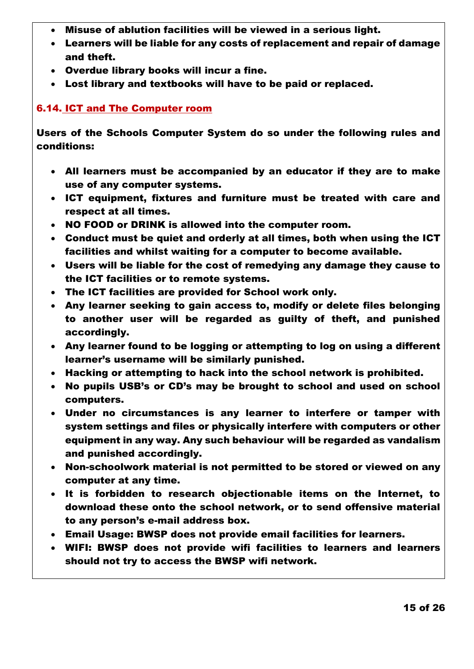- Misuse of ablution facilities will be viewed in a serious light.
- Learners will be liable for any costs of replacement and repair of damage and theft.
- Overdue library books will incur a fine.
- Lost library and textbooks will have to be paid or replaced.

#### 6.14. ICT and The Computer room

Users of the Schools Computer System do so under the following rules and conditions:

- All learners must be accompanied by an educator if they are to make use of any computer systems.
- ICT equipment, fixtures and furniture must be treated with care and respect at all times.
- NO FOOD or DRINK is allowed into the computer room.
- Conduct must be quiet and orderly at all times, both when using the ICT facilities and whilst waiting for a computer to become available.
- Users will be liable for the cost of remedying any damage they cause to the ICT facilities or to remote systems.
- The ICT facilities are provided for School work only.
- Any learner seeking to gain access to, modify or delete files belonging to another user will be regarded as guilty of theft, and punished accordingly.
- Any learner found to be logging or attempting to log on using a different learner's username will be similarly punished.
- Hacking or attempting to hack into the school network is prohibited.
- No pupils USB's or CD's may be brought to school and used on school computers.
- Under no circumstances is any learner to interfere or tamper with system settings and files or physically interfere with computers or other equipment in any way. Any such behaviour will be regarded as vandalism and punished accordingly.
- Non-schoolwork material is not permitted to be stored or viewed on any computer at any time.
- It is forbidden to research objectionable items on the Internet, to download these onto the school network, or to send offensive material to any person's e-mail address box.
- Email Usage: BWSP does not provide email facilities for learners.
- WIFI: BWSP does not provide wifi facilities to learners and learners should not try to access the BWSP wifi network.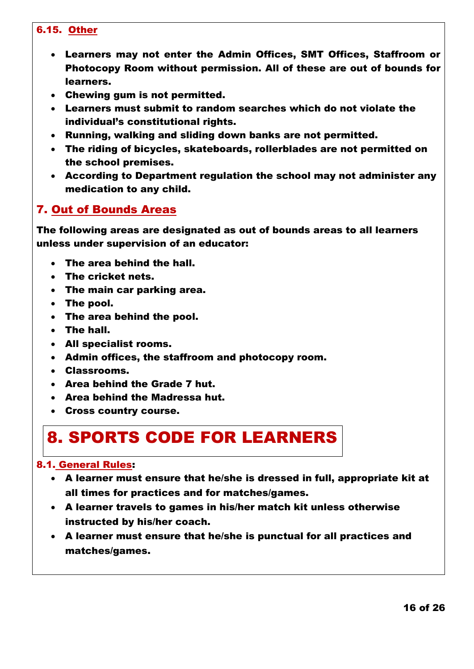#### 6.15. Other

- Learners may not enter the Admin Offices, SMT Offices, Staffroom or Photocopy Room without permission. All of these are out of bounds for learners.
- Chewing gum is not permitted.
- Learners must submit to random searches which do not violate the individual's constitutional rights.
- Running, walking and sliding down banks are not permitted.
- The riding of bicycles, skateboards, rollerblades are not permitted on the school premises.
- According to Department regulation the school may not administer any medication to any child.

### 7. Out of Bounds Areas

The following areas are designated as out of bounds areas to all learners unless under supervision of an educator:

- The area behind the hall.
- The cricket nets.
- The main car parking area.
- The pool.
- The area behind the pool.
- The hall.
- All specialist rooms.
- Admin offices, the staffroom and photocopy room.
- Classrooms.
- Area behind the Grade 7 hut.
- Area behind the Madressa hut.
- Cross country course.

# 8. SPORTS CODE FOR LEARNERS

#### 8.1. General Rules:

- A learner must ensure that he/she is dressed in full, appropriate kit at all times for practices and for matches/games.
- A learner travels to games in his/her match kit unless otherwise instructed by his/her coach.
- A learner must ensure that he/she is punctual for all practices and matches/games.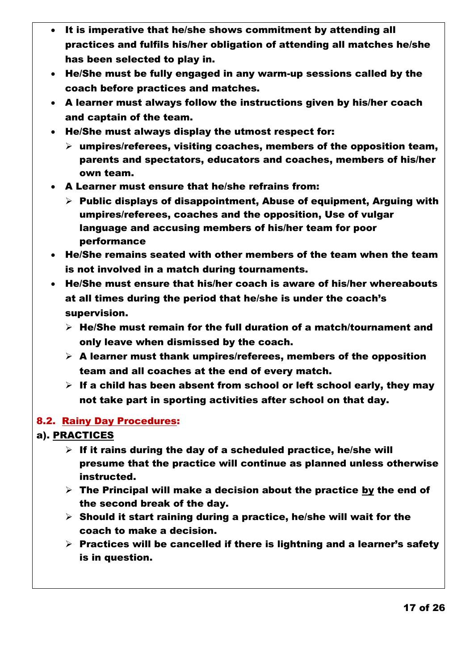- It is imperative that he/she shows commitment by attending all practices and fulfils his/her obligation of attending all matches he/she has been selected to play in.
- He/She must be fully engaged in any warm-up sessions called by the coach before practices and matches.
- A learner must always follow the instructions given by his/her coach and captain of the team.
- He/She must always display the utmost respect for:
	- $\triangleright$  umpires/referees, visiting coaches, members of the opposition team, parents and spectators, educators and coaches, members of his/her own team.
- A Learner must ensure that he/she refrains from:
	- $\triangleright$  Public displays of disappointment, Abuse of equipment, Arguing with umpires/referees, coaches and the opposition, Use of vulgar language and accusing members of his/her team for poor performance
- He/She remains seated with other members of the team when the team is not involved in a match during tournaments.
- He/She must ensure that his/her coach is aware of his/her whereabouts at all times during the period that he/she is under the coach's supervision.
	- $\triangleright$  He/She must remain for the full duration of a match/tournament and only leave when dismissed by the coach.
	- $\triangleright$  A learner must thank umpires/referees, members of the opposition team and all coaches at the end of every match.
	- $\triangleright$  If a child has been absent from school or left school early, they may not take part in sporting activities after school on that day.

#### 8.2. Rainy Day Procedures:

#### a). PRACTICES

- $\triangleright$  If it rains during the day of a scheduled practice, he/she will presume that the practice will continue as planned unless otherwise instructed.
- $\triangleright$  The Principal will make a decision about the practice by the end of the second break of the day.
- $\triangleright$  Should it start raining during a practice, he/she will wait for the coach to make a decision.
- $\triangleright$  Practices will be cancelled if there is lightning and a learner's safety is in question.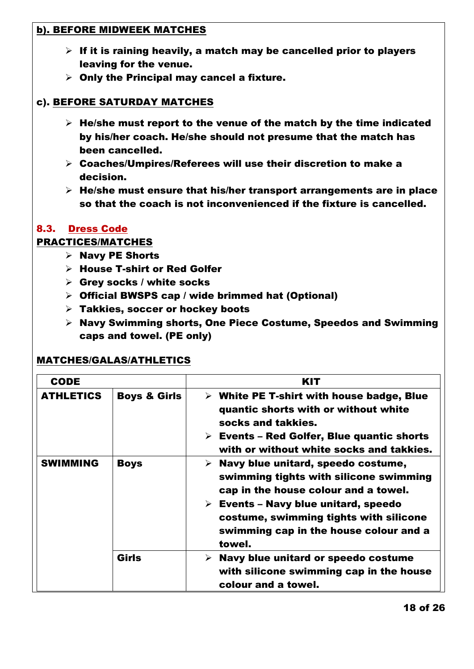#### b). BEFORE MIDWEEK MATCHES

- $\triangleright$  If it is raining heavily, a match may be cancelled prior to players leaving for the venue.
- $\triangleright$  Only the Principal may cancel a fixture.

#### c). BEFORE SATURDAY MATCHES

- $\triangleright$  He/she must report to the venue of the match by the time indicated by his/her coach. He/she should not presume that the match has been cancelled.
- $\triangleright$  Coaches/Umpires/Referees will use their discretion to make a decision.
- $\triangleright$  He/she must ensure that his/her transport arrangements are in place so that the coach is not inconvenienced if the fixture is cancelled.

#### 8.3. Dress Code

#### PRACTICES/MATCHES

- $\triangleright$  Navy PE Shorts
- House T-shirt or Red Golfer
- $\triangleright$  Grey socks / white socks
- $\triangleright$  Official BWSPS cap / wide brimmed hat (Optional)
- $\triangleright$  Takkies, soccer or hockey boots
- $\triangleright$  Navy Swimming shorts, One Piece Costume, Speedos and Swimming caps and towel. (PE only)

#### MATCHES/GALAS/ATHLETICS

| <b>CODE</b>      |                         | KIT                                                                                                                                                                                                                                                                                        |
|------------------|-------------------------|--------------------------------------------------------------------------------------------------------------------------------------------------------------------------------------------------------------------------------------------------------------------------------------------|
| <b>ATHLETICS</b> | <b>Boys &amp; Girls</b> | $\triangleright$ White PE T-shirt with house badge, Blue<br>quantic shorts with or without white<br>socks and takkies.<br>$\triangleright$ Events – Red Golfer, Blue quantic shorts<br>with or without white socks and takkies.                                                            |
| <b>SWIMMING</b>  | <b>Boys</b>             | $\triangleright$ Navy blue unitard, speedo costume,<br>swimming tights with silicone swimming<br>cap in the house colour and a towel.<br>$\triangleright$ Events – Navy blue unitard, speedo<br>costume, swimming tights with silicone<br>swimming cap in the house colour and a<br>towel. |
|                  | Girls                   | Navy blue unitard or speedo costume<br>➤<br>with silicone swimming cap in the house<br>colour and a towel.                                                                                                                                                                                 |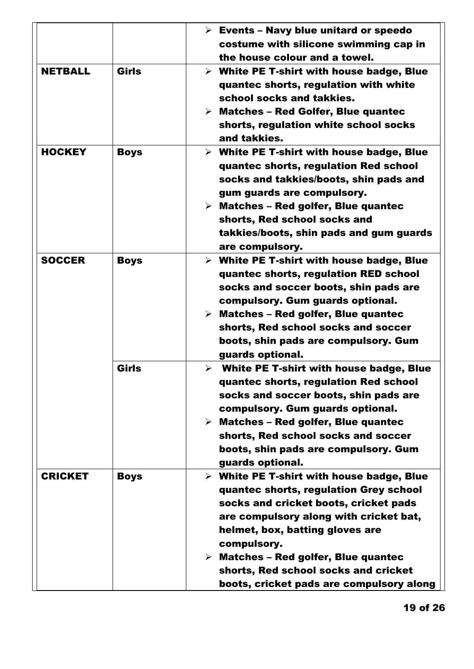|                |              | $\triangleright$ Events - Navy blue unitard or speedo<br>costume with silicone swimming cap in                                                                                                                                                                                                                                                                                     |
|----------------|--------------|------------------------------------------------------------------------------------------------------------------------------------------------------------------------------------------------------------------------------------------------------------------------------------------------------------------------------------------------------------------------------------|
|                |              | the house colour and a towel.                                                                                                                                                                                                                                                                                                                                                      |
| <b>NETBALL</b> | <b>Girls</b> | $\triangleright$ White PE T-shirt with house badge, Blue<br>quantec shorts, regulation with white<br>school socks and takkies.<br>$\triangleright$ Matches – Red Golfer, Blue quantec<br>shorts, regulation white school socks<br>and takkies.                                                                                                                                     |
| <b>HOCKEY</b>  | <b>Boys</b>  | $\triangleright$ White PE T-shirt with house badge, Blue<br>quantec shorts, regulation Red school<br>socks and takkies/boots, shin pads and<br>gum guards are compulsory.<br>$\triangleright$ Matches – Red golfer, Blue quantec<br>shorts, Red school socks and<br>takkies/boots, shin pads and gum guards<br>are compulsory.                                                     |
| <b>SOCCER</b>  | <b>Boys</b>  | $\triangleright$ White PE T-shirt with house badge, Blue<br>quantec shorts, regulation RED school<br>socks and soccer boots, shin pads are<br>compulsory. Gum guards optional.<br>$\triangleright$ Matches – Red golfer, Blue quantec<br>shorts, Red school socks and soccer<br>boots, shin pads are compulsory. Gum<br>guards optional.                                           |
|                | <b>Girls</b> | $\triangleright$ White PE T-shirt with house badge, Blue<br>quantec shorts, regulation Red school<br>socks and soccer boots, shin pads are<br>compulsory. Gum guards optional.<br>$\triangleright$ Matches – Red golfer, Blue quantec<br>shorts, Red school socks and soccer<br>boots, shin pads are compulsory. Gum<br>guards optional.                                           |
| <b>CRICKET</b> | <b>Boys</b>  | $\triangleright$ White PE T-shirt with house badge, Blue<br>quantec shorts, regulation Grey school<br>socks and cricket boots, cricket pads<br>are compulsory along with cricket bat,<br>helmet, box, batting gloves are<br>compulsory.<br>$\triangleright$ Matches – Red golfer, Blue quantec<br>shorts, Red school socks and cricket<br>boots, cricket pads are compulsory along |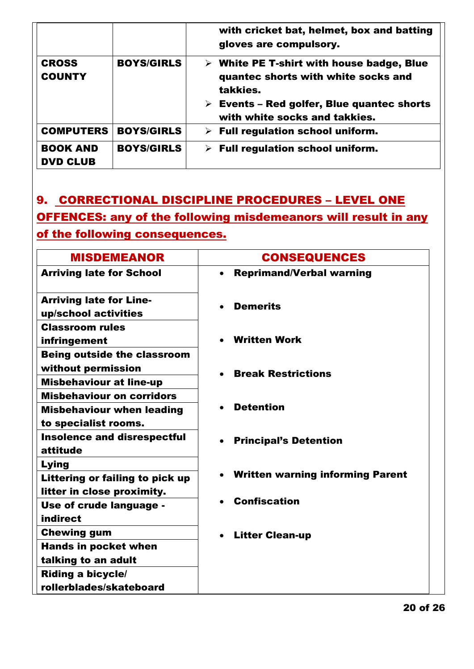|                                    |                   | with cricket bat, helmet, box and batting<br>gloves are compulsory.                                                                                                                                       |
|------------------------------------|-------------------|-----------------------------------------------------------------------------------------------------------------------------------------------------------------------------------------------------------|
| <b>CROSS</b><br><b>COUNTY</b>      | <b>BOYS/GIRLS</b> | $\triangleright$ White PE T-shirt with house badge, Blue<br>quantec shorts with white socks and<br>takkies.<br>$\triangleright$ Events - Red golfer, Blue quantec shorts<br>with white socks and takkies. |
| <b>COMPUTERS</b>                   | <b>BOYS/GIRLS</b> | $\triangleright$ Full regulation school uniform.                                                                                                                                                          |
| <b>BOOK AND</b><br><b>DVD CLUB</b> | <b>BOYS/GIRLS</b> | $\triangleright$ Full regulation school uniform.                                                                                                                                                          |

## 9. CORRECTIONAL DISCIPLINE PROCEDURES – LEVEL ONE OFFENCES: any of the following misdemeanors will result in any of the following consequences.

| <b>MISDEMEANOR</b>                                                   | <b>CONSEQUENCES</b>                     |
|----------------------------------------------------------------------|-----------------------------------------|
| <b>Arriving late for School</b>                                      | <b>Reprimand/Verbal warning</b>         |
| <b>Arriving late for Line-</b><br>up/school activities               | <b>Demerits</b><br>$\bullet$            |
| <b>Classroom rules</b><br>infringement                               | <b>Written Work</b>                     |
| <b>Being outside the classroom</b><br>without permission             |                                         |
| <b>Misbehaviour at line-up</b>                                       | <b>Break Restrictions</b>               |
| <b>Misbehaviour on corridors</b><br><b>Misbehaviour when leading</b> | <b>Detention</b>                        |
| to specialist rooms.<br><b>Insolence and disrespectful</b>           | <b>Principal's Detention</b>            |
| attitude<br>Lying                                                    |                                         |
| Littering or failing to pick up                                      | <b>Written warning informing Parent</b> |
| litter in close proximity.<br>Use of crude language -<br>indirect    | <b>Confiscation</b>                     |
| <b>Chewing gum</b>                                                   | <b>Litter Clean-up</b>                  |
| <b>Hands in pocket when</b>                                          |                                         |
| talking to an adult                                                  |                                         |
| <b>Riding a bicycle/</b>                                             |                                         |
| rollerblades/skateboard                                              |                                         |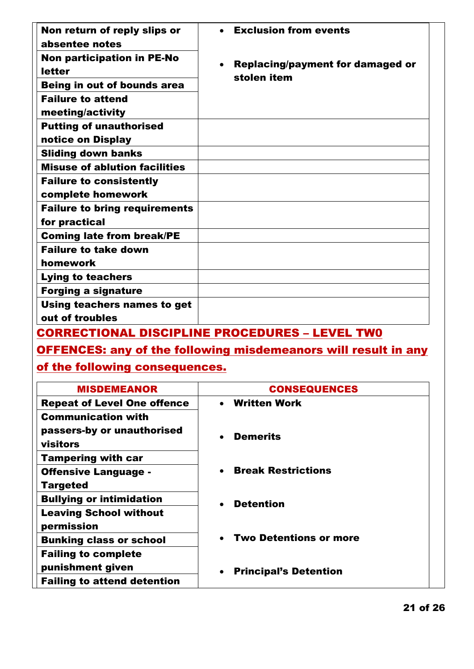| Non return of reply slips or<br>absentee notes      | <b>Exclusion from events</b>                                        |
|-----------------------------------------------------|---------------------------------------------------------------------|
| Non participation in PE-No<br><b>letter</b>         | <b>Replacing/payment for damaged or</b><br>$\bullet$<br>stolen item |
| Being in out of bounds area                         |                                                                     |
| <b>Failure to attend</b>                            |                                                                     |
| meeting/activity                                    |                                                                     |
| <b>Putting of unauthorised</b><br>notice on Display |                                                                     |
| <b>Sliding down banks</b>                           |                                                                     |
| <b>Misuse of ablution facilities</b>                |                                                                     |
| <b>Failure to consistently</b>                      |                                                                     |
| complete homework                                   |                                                                     |
| <b>Failure to bring requirements</b>                |                                                                     |
| for practical                                       |                                                                     |
| <b>Coming late from break/PE</b>                    |                                                                     |
| <b>Failure to take down</b>                         |                                                                     |
| homework                                            |                                                                     |
| <b>Lying to teachers</b>                            |                                                                     |
| <b>Forging a signature</b>                          |                                                                     |
| Using teachers names to get<br>out of troubles      |                                                                     |

CORRECTIONAL DISCIPLINE PROCEDURES – LEVEL TW0

## OFFENCES: any of the following misdemeanors will result in any

## of the following consequences.

| <b>MISDEMEANOR</b>                                                  | <b>CONSEQUENCES</b>                        |
|---------------------------------------------------------------------|--------------------------------------------|
| <b>Repeat of Level One offence</b>                                  | • Written Work                             |
| <b>Communication with</b><br>passers-by or unauthorised<br>visitors | <b>Demerits</b>                            |
| <b>Tampering with car</b><br><b>Offensive Language -</b>            | <b>Break Restrictions</b><br>$\bullet$     |
| <b>Targeted</b>                                                     |                                            |
| <b>Bullying or intimidation</b>                                     | <b>Detention</b>                           |
| <b>Leaving School without</b><br>permission                         |                                            |
| <b>Bunking class or school</b>                                      | <b>Two Detentions or more</b><br>$\bullet$ |
| <b>Failing to complete</b><br>punishment given                      | <b>Principal's Detention</b><br>$\bullet$  |
| <b>Failing to attend detention</b>                                  |                                            |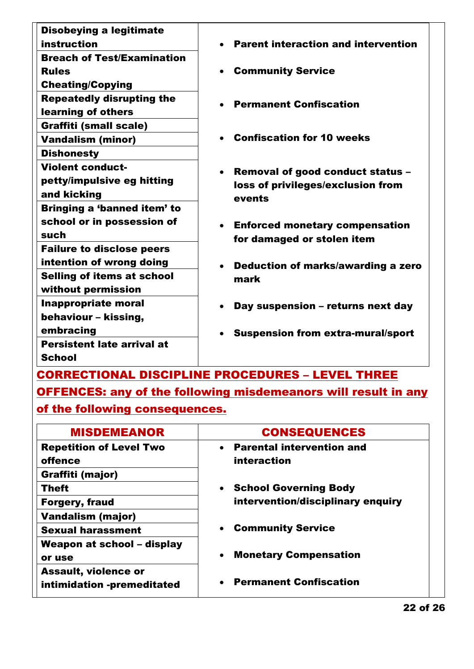| <b>Disobeying a legitimate</b><br><b>instruction</b> | <b>Parent interaction and intervention</b>     |
|------------------------------------------------------|------------------------------------------------|
| <b>Breach of Test/Examination</b>                    |                                                |
| <b>Rules</b>                                         | • Community Service                            |
| <b>Cheating/Copying</b>                              |                                                |
| <b>Repeatedly disrupting the</b>                     |                                                |
| learning of others                                   | <b>Permanent Confiscation</b>                  |
| <b>Graffiti (small scale)</b>                        |                                                |
| <b>Vandalism (minor)</b>                             | <b>Confiscation for 10 weeks</b>               |
| <b>Dishonesty</b>                                    |                                                |
| <b>Violent conduct-</b>                              | Removal of good conduct status -<br>$\bullet$  |
| petty/impulsive eg hitting                           | loss of privileges/exclusion from              |
| and kicking                                          | events                                         |
| Bringing a 'banned item' to                          |                                                |
| school or in possession of                           | • Enforced monetary compensation               |
| such                                                 | for damaged or stolen item                     |
| <b>Failure to disclose peers</b>                     |                                                |
| intention of wrong doing                             | Deduction of marks/awarding a zero             |
| <b>Selling of items at school</b>                    | mark                                           |
| without permission                                   |                                                |
| <b>Inappropriate moral</b>                           | Day suspension - returns next day<br>$\bullet$ |
| behaviour - kissing,                                 |                                                |
| embracing                                            | <b>Suspension from extra-mural/sport</b>       |
| <b>Persistent late arrival at</b>                    |                                                |
| <b>School</b>                                        |                                                |

CORRECTIONAL DISCIPLINE PROCEDURES – LEVEL THREE OFFENCES: any of the following misdemeanors will result in any

of the following consequences.

| <b>MISDEMEANOR</b>             | <b>CONSEQUENCES</b>                           |
|--------------------------------|-----------------------------------------------|
| <b>Repetition of Level Two</b> | <b>Parental intervention and</b><br>$\bullet$ |
| offence                        | interaction                                   |
| Graffiti (major)               |                                               |
| <b>Theft</b>                   | • School Governing Body                       |
| <b>Forgery, fraud</b>          | intervention/disciplinary enquiry             |
| <b>Vandalism (major)</b>       |                                               |
| <b>Sexual harassment</b>       | <b>Community Service</b>                      |
| Weapon at school – display     |                                               |
| or use                         | <b>Monetary Compensation</b><br>$\bullet$     |
| <b>Assault, violence or</b>    |                                               |
| intimidation -premeditated     | <b>Permanent Confiscation</b>                 |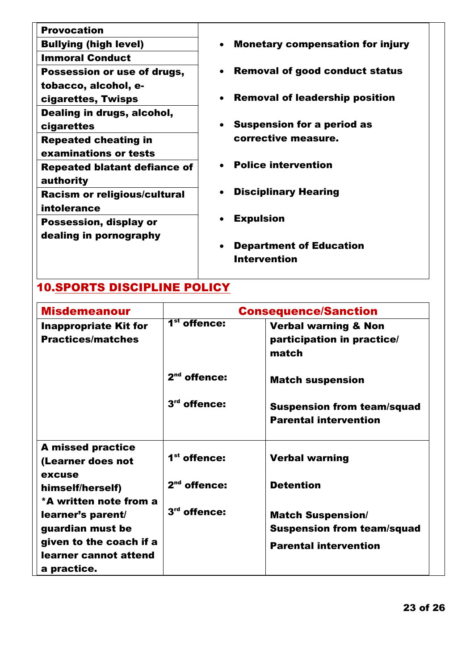| <b>Provocation</b>                  |                                                      |
|-------------------------------------|------------------------------------------------------|
| <b>Bullying (high level)</b>        | <b>Monetary compensation for injury</b><br>$\bullet$ |
| <b>Immoral Conduct</b>              |                                                      |
| Possession or use of drugs,         | <b>Removal of good conduct status</b>                |
| tobacco, alcohol, e-                |                                                      |
| cigarettes, Twisps                  | • Removal of leadership position                     |
| Dealing in drugs, alcohol,          |                                                      |
| cigarettes                          | • Suspension for a period as                         |
| <b>Repeated cheating in</b>         | corrective measure.                                  |
| examinations or tests               |                                                      |
| Repeated blatant defiance of        | <b>Police intervention</b>                           |
| authority                           |                                                      |
| <b>Racism or religious/cultural</b> | <b>Disciplinary Hearing</b>                          |
| intolerance                         |                                                      |
| <b>Possession, display or</b>       | <b>Expulsion</b>                                     |
| dealing in pornography              |                                                      |
|                                     | <b>Department of Education</b>                       |
|                                     | Intervention                                         |

## 10.SPORTS DISCIPLINE POLICY

| <b>Misdemeanour</b>                                             |                          | <b>Consequence/Sanction</b>                                            |
|-----------------------------------------------------------------|--------------------------|------------------------------------------------------------------------|
| <b>Inappropriate Kit for</b><br><b>Practices/matches</b>        | 1 <sup>st</sup> offence: | <b>Verbal warning &amp; Non</b><br>participation in practice/<br>match |
|                                                                 | $2nd$ offence:           | <b>Match suspension</b>                                                |
|                                                                 | $3rd$ offence:           | <b>Suspension from team/squad</b><br><b>Parental intervention</b>      |
| <b>A missed practice</b><br>(Learner does not                   | $1st$ offence:           | <b>Verbal warning</b>                                                  |
| excuse<br>himself/herself)                                      | $2nd$ offence:           | <b>Detention</b>                                                       |
| *A written note from a<br>learner's parent/<br>guardian must be | $3rd$ offence:           | <b>Match Suspension/</b><br><b>Suspension from team/squad</b>          |
| given to the coach if a<br>learner cannot attend<br>a practice. |                          | <b>Parental intervention</b>                                           |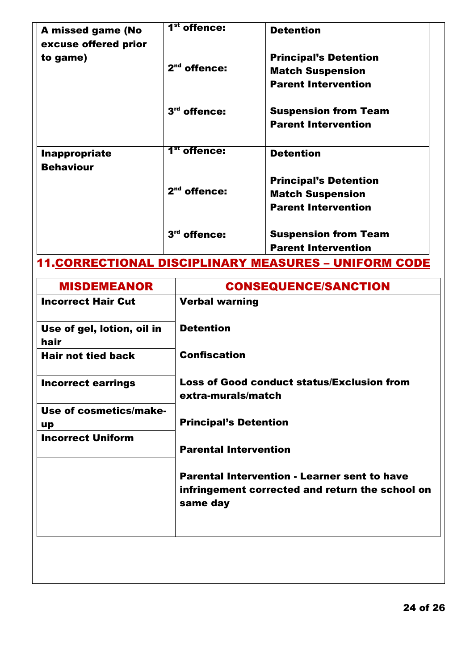| A missed game (No<br>excuse offered prior | 1 <sup>st</sup> offence: | <b>Detention</b>                                                                      |
|-------------------------------------------|--------------------------|---------------------------------------------------------------------------------------|
| to game)                                  | $2nd$ offence:           | <b>Principal's Detention</b><br><b>Match Suspension</b><br><b>Parent Intervention</b> |
|                                           | $3rd$ offence:           | <b>Suspension from Team</b><br><b>Parent Intervention</b>                             |
| Inappropriate<br><b>Behaviour</b>         | 1 <sup>st</sup> offence: | <b>Detention</b>                                                                      |
|                                           | $2nd$ offence:           | <b>Principal's Detention</b><br><b>Match Suspension</b><br><b>Parent Intervention</b> |
|                                           | $3rd$ offence:           | <b>Suspension from Team</b><br><b>Parent Intervention</b>                             |

# 11.CORRECTIONAL DISCIPLINARY MEASURES – UNIFORM CODE

| <b>Verbal warning</b><br><b>Detention</b>                               |
|-------------------------------------------------------------------------|
|                                                                         |
|                                                                         |
| <b>Confiscation</b>                                                     |
| <b>Loss of Good conduct status/Exclusion from</b><br>extra-murals/match |
|                                                                         |
| <b>Principal's Detention</b>                                            |
| <b>Parental Intervention</b>                                            |
| <b>Parental Intervention - Learner sent to have</b>                     |
| infringement corrected and return the school on<br>same day             |
|                                                                         |
|                                                                         |
|                                                                         |
|                                                                         |